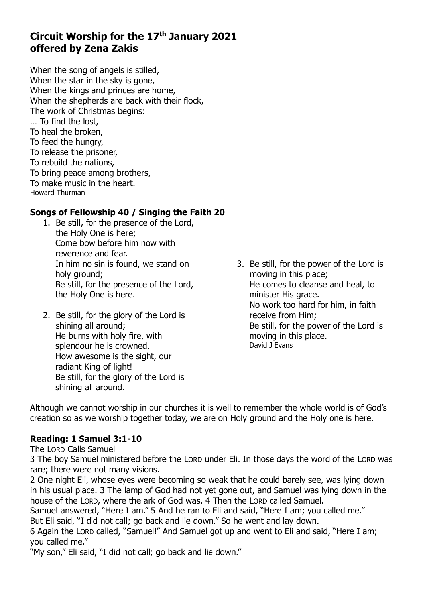# **Circuit Worship for the 17 th January 2021 offered by Zena Zakis**

When the song of angels is stilled, When the star in the sky is gone, When the kings and princes are home, When the shepherds are back with their flock, The work of Christmas begins: … To find the lost, To heal the broken, To feed the hungry, To release the prisoner, To rebuild the nations, To bring peace among brothers, To make music in the heart. Howard Thurman

#### **Songs of Fellowship 40 / Singing the Faith 20**

- 1. Be still, for the presence of the Lord, the Holy One is here; Come bow before him now with reverence and fear. In him no sin is found, we stand on holy ground; Be still, for the presence of the Lord, the Holy One is here.
- 2. Be still, for the glory of the Lord is shining all around; He burns with holy fire, with splendour he is crowned. How awesome is the sight, our radiant King of light! Be still, for the glory of the Lord is shining all around.
- 3. Be still, for the power of the Lord is moving in this place; He comes to cleanse and heal, to minister His grace. No work too hard for him, in faith receive from Him; Be still, for the power of the Lord is moving in this place. David J Evans

Although we cannot worship in our churches it is well to remember the whole world is of God's creation so as we worship together today, we are on Holy ground and the Holy one is here.

### **Reading: 1 Samuel 3:1-10**

The LORD Calls Samuel

3 The boy Samuel ministered before the LORD under Eli. In those days the word of the LORD was rare; there were not many visions.

2 One night Eli, whose eyes were becoming so weak that he could barely see, was lying down in his usual place. 3 The lamp of God had not yet gone out, and Samuel was lying down in the house of the LORD, where the ark of God was. 4 Then the LORD called Samuel.

Samuel answered, "Here I am." 5 And he ran to Eli and said, "Here I am; you called me." But Eli said, "I did not call; go back and lie down." So he went and lay down.

6 Again the LORD called, "Samuel!" And Samuel got up and went to Eli and said, "Here I am; you called me."

"My son," Eli said, "I did not call; go back and lie down."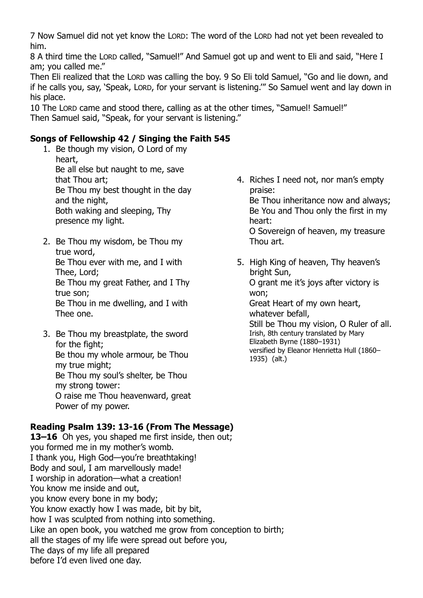7 Now Samuel did not yet know the LORD: The word of the LORD had not yet been revealed to him.

8 A third time the LORD called, "Samuel!" And Samuel got up and went to Eli and said, "Here I am; you called me."

Then Eli realized that the LORD was calling the boy. 9 So Eli told Samuel, "Go and lie down, and if he calls you, say, 'Speak, LORD, for your servant is listening.'" So Samuel went and lay down in his place.

10 The LORD came and stood there, calling as at the other times, "Samuel! Samuel!" Then Samuel said, "Speak, for your servant is listening."

### **Songs of Fellowship 42 / Singing the Faith 545**

- 1. Be though my vision, O Lord of my heart, Be all else but naught to me, save that Thou art; Be Thou my best thought in the day and the night, Both waking and sleeping, Thy presence my light.
- 2. Be Thou my wisdom, be Thou my true word, Be Thou ever with me, and I with Thee, Lord; Be Thou my great Father, and I Thy true son; Be Thou in me dwelling, and I with Thee one.
- 3. Be Thou my breastplate, the sword for the fight; Be thou my whole armour, be Thou my true might; Be Thou my soul's shelter, be Thou my strong tower: O raise me Thou heavenward, great Power of my power.

### **Reading Psalm 139: 13-16 (From The Message)**

**13–16** Oh yes, you shaped me first inside, then out; you formed me in my mother's womb. I thank you, High God—you're breathtaking! Body and soul, I am marvellously made! I worship in adoration—what a creation! You know me inside and out, you know every bone in my body; You know exactly how I was made, bit by bit, how I was sculpted from nothing into something. Like an open book, you watched me grow from conception to birth; all the stages of my life were spread out before you, The days of my life all prepared before I'd even lived one day.

4. Riches I need not, nor man's empty praise:

Be Thou inheritance now and always; Be You and Thou only the first in my heart:

O Sovereign of heaven, my treasure Thou art.

5. High King of heaven, Thy heaven's bright Sun, O grant me it's joys after victory is won; Great Heart of my own heart, whatever befall, Still be Thou my vision, O Ruler of all. Irish, 8th century translated by Mary Elizabeth Byrne (1880–1931) versified by Eleanor Henrietta Hull (1860– 1935) (alt.)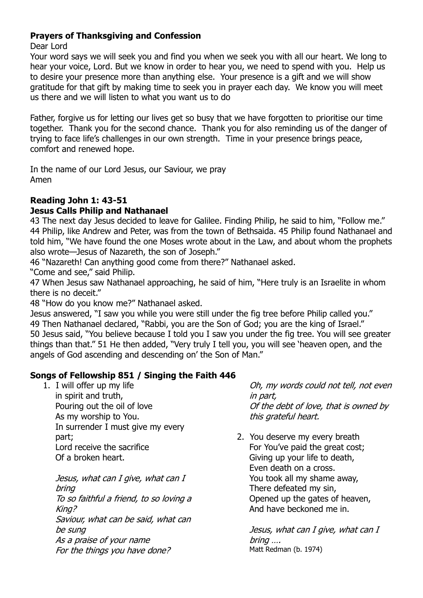#### **Prayers of Thanksgiving and Confession**

Dear Lord

Your word says we will seek you and find you when we seek you with all our heart. We long to hear your voice, Lord. But we know in order to hear you, we need to spend with you. Help us to desire your presence more than anything else. Your presence is a gift and we will show gratitude for that gift by making time to seek you in prayer each day. We know you will meet us there and we will listen to what you want us to do

Father, forgive us for letting our lives get so busy that we have forgotten to prioritise our time together. Thank you for the second chance. Thank you for also reminding us of the danger of trying to face life's challenges in our own strength. Time in your presence brings peace, comfort and renewed hope.

In the name of our Lord Jesus, our Saviour, we pray Amen

# **Reading John 1: 43-51**

### **Jesus Calls Philip and Nathanael**

43 The next day Jesus decided to leave for Galilee. Finding Philip, he said to him, "Follow me." 44 Philip, like Andrew and Peter, was from the town of Bethsaida. 45 Philip found Nathanael and told him, "We have found the one Moses wrote about in the Law, and about whom the prophets also wrote—Jesus of Nazareth, the son of Joseph."

46 "Nazareth! Can anything good come from there?" Nathanael asked.

"Come and see," said Philip.

47 When Jesus saw Nathanael approaching, he said of him, "Here truly is an Israelite in whom there is no deceit."

48 "How do you know me?" Nathanael asked.

Jesus answered, "I saw you while you were still under the fig tree before Philip called you." 49 Then Nathanael declared, "Rabbi, you are the Son of God; you are the king of Israel." 50 Jesus said, "You believe because I told you I saw you under the fig tree. You will see greater things than that." 51 He then added, "Very truly I tell you, you will see 'heaven open, and the angels of God ascending and descending on' the Son of Man."

# **Songs of Fellowship 851 / Singing the Faith 446**

1. I will offer up my life in spirit and truth, Pouring out the oil of love As my worship to You. In surrender I must give my every part; Lord receive the sacrifice Of a broken heart.

Jesus, what can I give, what can I bring To so faithful a friend, to so loving a King? Saviour, what can be said, what can be sung As a praise of your name For the things you have done?

Oh, my words could not tell, not even in part, Of the debt of love, that is owned by this grateful heart.

2. You deserve my every breath For You've paid the great cost; Giving up your life to death, Even death on a cross. You took all my shame away, There defeated my sin, Opened up the gates of heaven, And have beckoned me in.

Jesus, what can I give, what can I bring …. Matt Redman (b. 1974)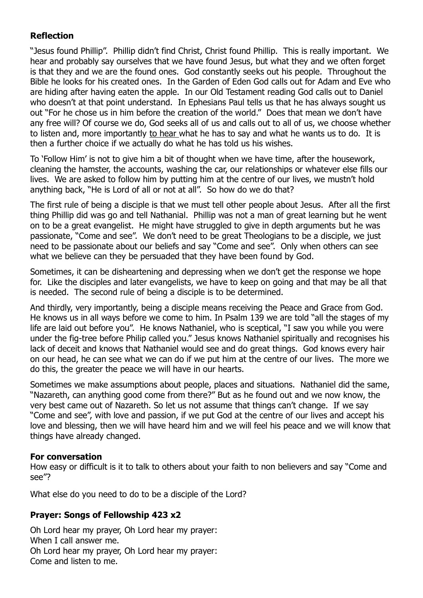## **Reflection**

"Jesus found Phillip". Phillip didn't find Christ, Christ found Phillip. This is really important. We hear and probably say ourselves that we have found Jesus, but what they and we often forget is that they and we are the found ones. God constantly seeks out his people. Throughout the Bible he looks for his created ones. In the Garden of Eden God calls out for Adam and Eve who are hiding after having eaten the apple. In our Old Testament reading God calls out to Daniel who doesn't at that point understand. In Ephesians Paul tells us that he has always sought us out "For he chose us in him before the creation of the world." Does that mean we don't have any free will? Of course we do, God seeks all of us and calls out to all of us, we choose whether to listen and, more importantly to hear what he has to say and what he wants us to do. It is then a further choice if we actually do what he has told us his wishes.

To 'Follow Him' is not to give him a bit of thought when we have time, after the housework, cleaning the hamster, the accounts, washing the car, our relationships or whatever else fills our lives. We are asked to follow him by putting him at the centre of our lives, we mustn't hold anything back, "He is Lord of all or not at all". So how do we do that?

The first rule of being a disciple is that we must tell other people about Jesus. After all the first thing Phillip did was go and tell Nathanial. Phillip was not a man of great learning but he went on to be a great evangelist. He might have struggled to give in depth arguments but he was passionate, "Come and see". We don't need to be great Theologians to be a disciple, we just need to be passionate about our beliefs and say "Come and see". Only when others can see what we believe can they be persuaded that they have been found by God.

Sometimes, it can be disheartening and depressing when we don't get the response we hope for. Like the disciples and later evangelists, we have to keep on going and that may be all that is needed. The second rule of being a disciple is to be determined.

And thirdly, very importantly, being a disciple means receiving the Peace and Grace from God. He knows us in all ways before we come to him. In Psalm 139 we are told "all the stages of my life are laid out before you". He knows Nathaniel, who is sceptical, "I saw you while you were under the fig-tree before Philip called you." Jesus knows Nathaniel spiritually and recognises his lack of deceit and knows that Nathaniel would see and do great things. God knows every hair on our head, he can see what we can do if we put him at the centre of our lives. The more we do this, the greater the peace we will have in our hearts.

Sometimes we make assumptions about people, places and situations. Nathaniel did the same, "Nazareth, can anything good come from there?" But as he found out and we now know, the very best came out of Nazareth. So let us not assume that things can't change. If we say "Come and see", with love and passion, if we put God at the centre of our lives and accept his love and blessing, then we will have heard him and we will feel his peace and we will know that things have already changed.

#### **For conversation**

How easy or difficult is it to talk to others about your faith to non believers and say "Come and see"?

What else do you need to do to be a disciple of the Lord?

### **Prayer: Songs of Fellowship 423 x2**

Oh Lord hear my prayer, Oh Lord hear my prayer: When I call answer me. Oh Lord hear my prayer, Oh Lord hear my prayer: Come and listen to me.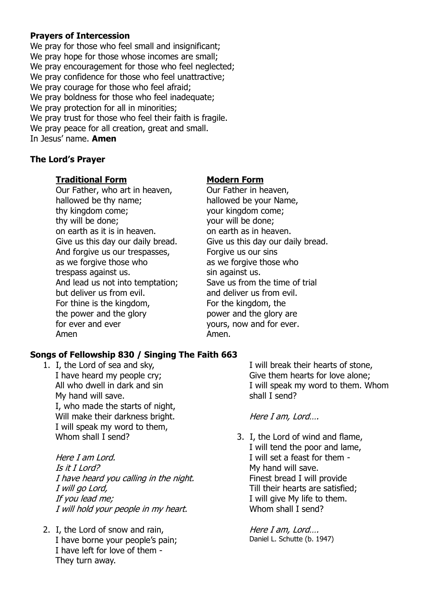#### **Prayers of Intercession**

We pray for those who feel small and insignificant; We pray hope for those whose incomes are small; We pray encouragement for those who feel neglected; We pray confidence for those who feel unattractive; We pray courage for those who feel afraid; We pray boldness for those who feel inadequate; We pray protection for all in minorities; We pray trust for those who feel their faith is fragile. We pray peace for all creation, great and small. In Jesus' name. **Amen**

#### **The Lord's Prayer**

#### **Traditional Form Modern Form**

Our Father, who art in heaven, Our Father in heaven, hallowed be thy name; hallowed be your Name, thy kingdom come; your kingdom come; thy will be done; your will be done; on earth as it is in heaven. on earth as in heaven. Give us this day our daily bread. Give us this day our daily bread. And forgive us our trespasses, Forgive us our sins as we forgive those who as we forgive those who trespass against us. The sin against us. And lead us not into temptation; Save us from the time of trial but deliver us from evil. The same and deliver us from evil. For thine is the kingdom, For the kingdom, the the power and the glory entity power and the glory are for ever and ever yours, now and for ever. Amen **Amen.** 

### **Songs of Fellowship 830 / Singing The Faith 663**

1. I, the Lord of sea and sky, I have heard my people cry; All who dwell in dark and sin My hand will save. I, who made the starts of night, Will make their darkness bright. I will speak my word to them, Whom shall I send?

Here I am Lord. Is it I Lord? I have heard you calling in the night. I will go Lord, If you lead me; I will hold your people in my heart.

2. I, the Lord of snow and rain, I have borne your people's pain; I have left for love of them - They turn away.

I will break their hearts of stone, Give them hearts for love alone; I will speak my word to them. Whom shall I send?

#### Here I am, Lord….

3. I, the Lord of wind and flame, I will tend the poor and lame, I will set a feast for them - My hand will save. Finest bread I will provide Till their hearts are satisfied; I will give My life to them. Whom shall I send?

Here I am, Lord…. Daniel L. Schutte (b. 1947)